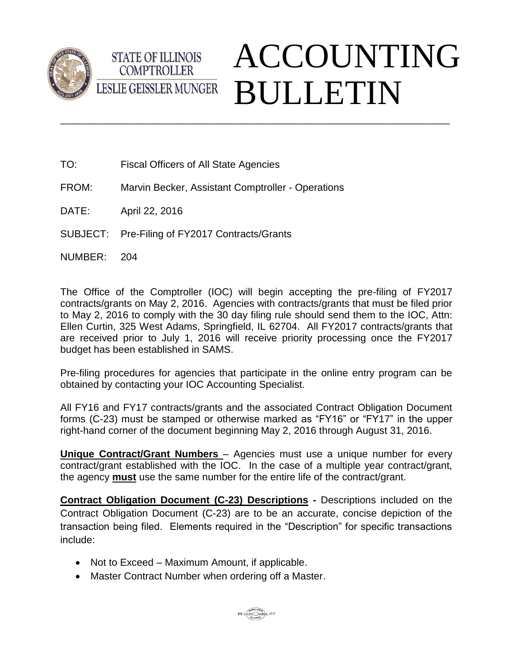



- TO: Fiscal Officers of All State Agencies
- FROM: Marvin Becker, Assistant Comptroller Operations
- DATE: April 22, 2016
- SUBJECT: Pre-Filing of FY2017 Contracts/Grants
- NUMBER: 204

The Office of the Comptroller (IOC) will begin accepting the pre-filing of FY2017 contracts/grants on May 2, 2016. Agencies with contracts/grants that must be filed prior to May 2, 2016 to comply with the 30 day filing rule should send them to the IOC, Attn: Ellen Curtin, 325 West Adams, Springfield, IL 62704. All FY2017 contracts/grants that are received prior to July 1, 2016 will receive priority processing once the FY2017 budget has been established in SAMS.

\_\_\_\_\_\_\_\_\_\_\_\_\_\_\_\_\_\_\_\_\_\_\_\_\_\_\_\_\_\_\_\_\_\_\_\_\_\_\_\_\_\_\_\_\_\_\_\_\_\_\_\_\_\_\_\_\_\_\_\_\_\_\_\_\_\_\_\_\_\_\_\_\_\_\_\_\_\_\_\_\_\_\_\_\_

Pre-filing procedures for agencies that participate in the online entry program can be obtained by contacting your IOC Accounting Specialist.

All FY16 and FY17 contracts/grants and the associated Contract Obligation Document forms (C-23) must be stamped or otherwise marked as "FY16" or "FY17" in the upper right-hand corner of the document beginning May 2, 2016 through August 31, 2016.

**Unique Contract/Grant Numbers** – Agencies must use a unique number for every contract/grant established with the IOC. In the case of a multiple year contract/grant, the agency **must** use the same number for the entire life of the contract/grant.

**Contract Obligation Document (C-23) Descriptions -** Descriptions included on the Contract Obligation Document (C-23) are to be an accurate, concise depiction of the transaction being filed. Elements required in the "Description" for specific transactions include:

- Not to Exceed Maximum Amount, if applicable.
- Master Contract Number when ordering off a Master.